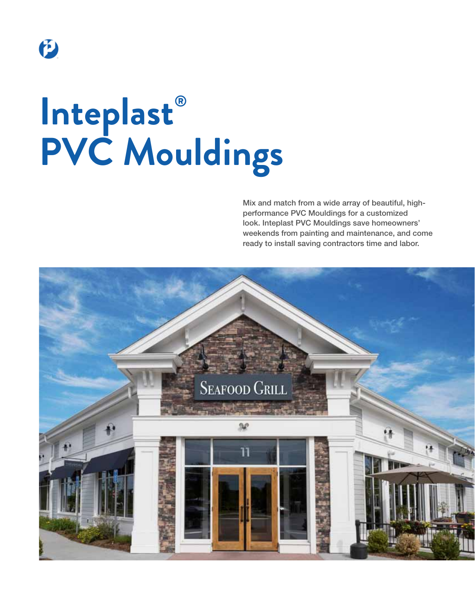

# **® Inteplast PVC Mouldings**

Mix and match from a wide array of beautiful, highperformance PVC Mouldings for a customized look. Inteplast PVC Mouldings save homeowners' weekends from painting and maintenance, and come ready to install saving contractors time and labor.

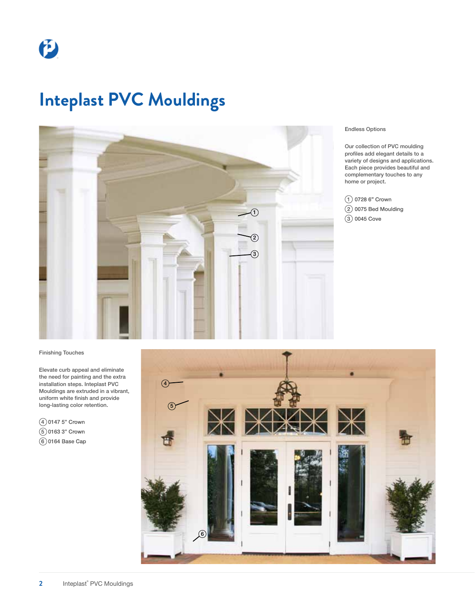# **Inteplast PVC Mouldings**



#### Endless Options

Our collection of PVC moulding profiles add elegant details to a variety of designs and applications. Each piece provides beautiful and complementary touches to any home or project.

 $\textcircled{1}$  0728 6" Crown  $(2)$  0075 Bed Moulding  $(3)$  0045 Cove

#### Finishing Touches

Elevate curb appeal and eliminate the need for painting and the extra installation steps. Inteplast PVC Mouldings are extruded in a vibrant, uniform white finish and provide long-lasting color retention.

4 0147 5" Crown 5 0163 3" Crown  $(6)$ 0164 Base Cap

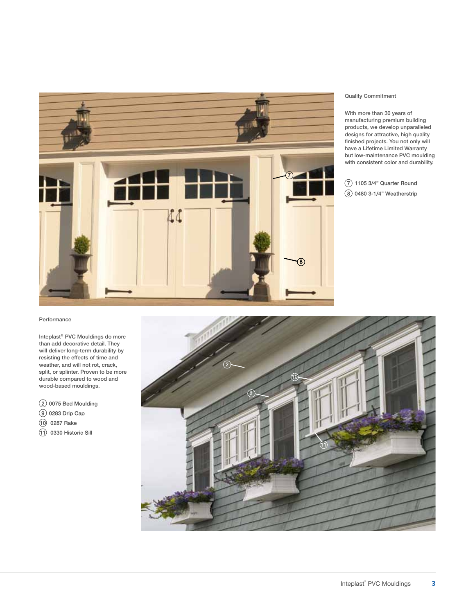

#### Quality Commitment

With more than 30 years of manufacturing premium building products, we develop unparalleled designs for attractive, high quality finished projects. You not only will have a Lifetime Limited Warranty but low-maintenance PVC moulding with consistent color and durability.

7 1105 3/4" Quarter Round 8 0480 3-1/4" Weatherstrip

#### Performance

Inteplast<sup>®</sup> PVC Mouldings do more than add decorative detail. They will deliver long-term durability by resisting the effects of time and weather, and will not rot, crack, split, or splinter. Proven to be more durable compared to wood and wood-based mouldings.

 $(2)$  0075 Bed Moulding

- 9 0283 Drip Cap
- (10) 0287 Rake
- (1) 0330 Historic Sill

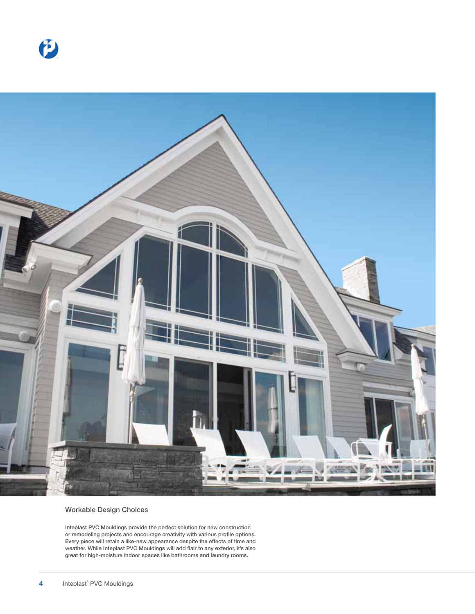



#### Workable Design Choices

Inteplast PVC Mouldings provide the perfect solution for new construction or remodeling projects and encourage creativity with various profile options. Every piece will retain a like-new appearance despite the effects of time and weather. While Inteplast PVC Mouldings will add flair to any exterior, it's also great for high-moisture indoor spaces like bathrooms and laundry rooms.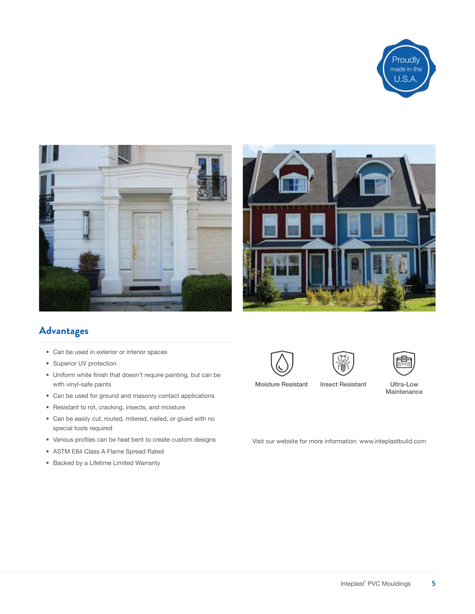





### **Advantages**

- • Can be used in exterior or interior spaces
- Superior UV protection
- • Uniform white finish that doesn't require painting, but can be with vinyl-safe paints
- • Can be used for ground and masonry contact applications
- • Resistant to rot, cracking, insects, and moisture
- • Can be easily cut, routed, mitered, nailed, or glued with no special tools required
- • Various profiles can be heat bent to create custom designs
- • ASTM E84 Class A Flame Spread Rated
- • Backed by a Lifetime Limited Warranty







- Moisture Resistant Insect Resistant
- Ultra-Low Maintenance

Visit our website for more information: www.inteplastbuild.com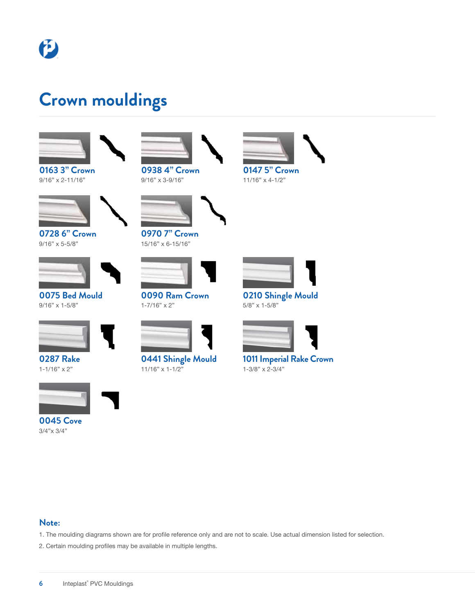

### **Crown mouldings**



**0163 3" Crown** 9/16" x 2-11/16"



**0728 6" Crown** 9/16" x 5-5/8"



**0075 Bed Mould** 9/16" x 1-5/8"



**0287 Rake** 1-1/16" x 2"



**0045 Cove** 3/4"x 3/4"



9/16" x 3-9/16"



**0970 7" Crown** 15/16" x 6-15/16"



**0090 Ram Crown**  $1 - 7/16" \times 2"$ 



**0441 Shingle Mould** 11/16" x 1-1/2"





**0210 Shingle Mould** 5/8" x 1-5/8"



**1011 Imperial Rake Crown** 1-3/8" x 2-3/4"

#### **Note:**

- 1. The moulding diagrams shown are for profile reference only and are not to scale. Use actual dimension listed for selection.
- 2. Certain moulding profiles may be available in multiple lengths.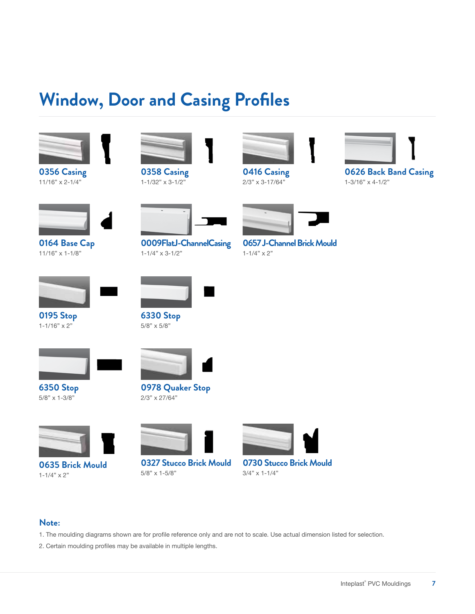## **Window, Door and Casing Profiles**



**0356 Casing** 11/16" x 2-1/4"



**0358 Casing** 1-1/32" x 3-1/2"



**0416 Casing** 2/3" x 3-17/64"



**0626 Back Band Casing** 1-3/16" x 4-1/2"



**0164 Base Cap** 11/16" x 1-1/8"



**0195 Stop**  $1 - 1/16" \times 2"$ 



**0009FlatJ-ChannelCasing** 1-1/4" x 3-1/2"



 $1-1/4" \times 2"$ 





**6350 Stop** 5/8" x 1-3/8"



**6330 Stop** 5/8" x 5/8"



**0978 Quaker Stop** 2/3" x 27/64"



**0635 Brick Mould**  $1-1/4" \times 2"$ 



**0327 Stucco Brick Mould** 5/8" x 1-5/8"



**0730 Stucco Brick Mould** 3/4" x 1-1/4"

#### **Note:**

- 1. The moulding diagrams shown are for profile reference only and are not to scale. Use actual dimension listed for selection.
- 2. Certain moulding profiles may be available in multiple lengths.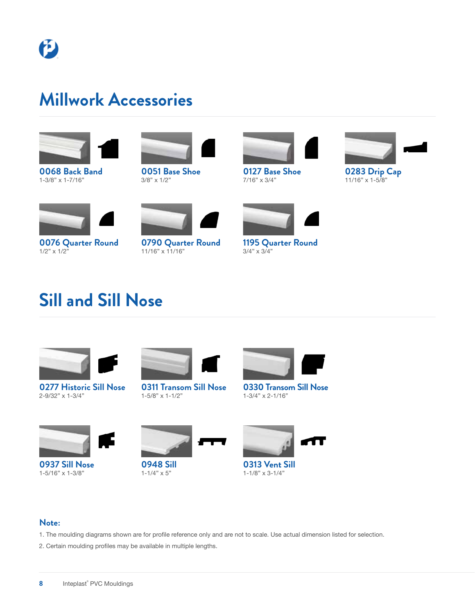### **Millwork Accessories**



**0068 Back Band** 1-3/8" x 1-7/16"



**0051 Base Shoe** 3/8" x 1/2"



**0127 Base Shoe** 7/16" x 3/4"



**0283 Drip Cap** 11/16" x 1-5/8"



**0076 Quarter Round** 1/2" x 1/2"



**0790 Quarter Round** 11/16" x 11/16"



**1195 Quarter Round** 3/4" x 3/4"

# **Sill and Sill Nose**



**0277 Historic Sill Nose** 2-9/32" x 1-3/4"



**0311 Transom Sill Nose** 1-5/8" x 1-1/2"









**0937 Sill Nose** 1-5/16" x 1-3/8"



**0948 Sill**  $1-1/4" \times 5"$ 



**0313 Vent Sill** 1-1/8" x 3-1/4"



- 1. The moulding diagrams shown are for profile reference only and are not to scale. Use actual dimension listed for selection.
- 2. Certain moulding profiles may be available in multiple lengths.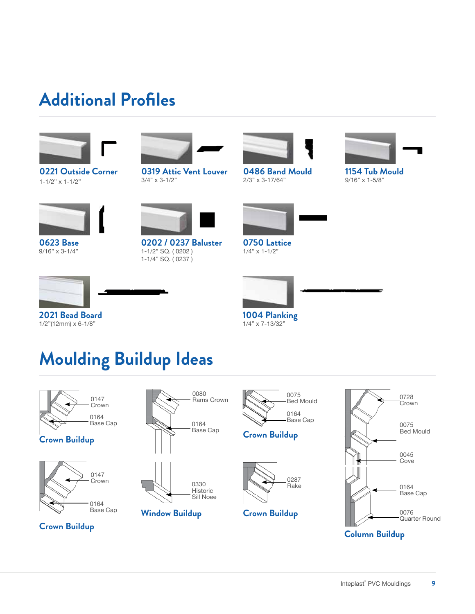### **Additional Profiles**



**0221 Outside Corner** 1-1/2" x 1-1/2"



**0319 Attic Vent Louver** 3/4" x 3-1/2"



**0486 Band Mould** 2/3" x 3-17/64"



**1154 Tub Mould** 9/16" x 1-5/8"



**0623 Base** 9/16" x 3-1/4"



**0202 / 0237 Baluster** 1-1/2" SQ. ( 0202 ) 1-1/4" SQ. ( 0237 )



**0750 Lattice** 1/4" x 1-1/2"



**2021 Bead Board**



1/2"(12mm) x 6-1/8"



**1004 Planking** 1/4" x 7-13/32"

# **Moulding Buildup Ideas**



**Column Buildup**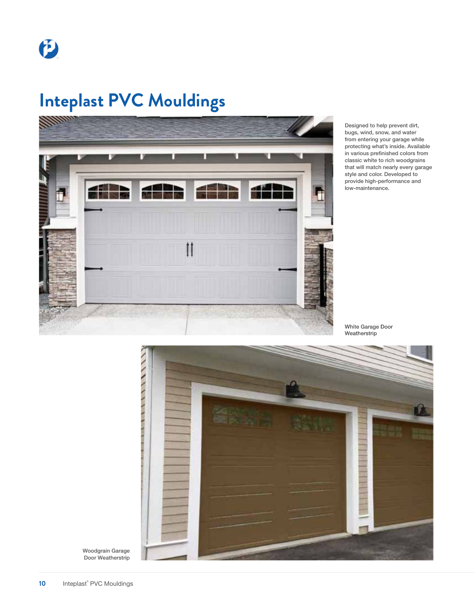# **Inteplast PVC Mouldings**



Designed to help prevent dirt, bugs, wind, snow, and water from entering your garage while protecting what's inside. Available in various prefinished colors from classic white to rich woodgrains that will match nearly every garage style and color. Developed to provide high-performance and low-maintenance.

White Garage Door Weatherstrip



Woodgrain Garage Door Weatherstrip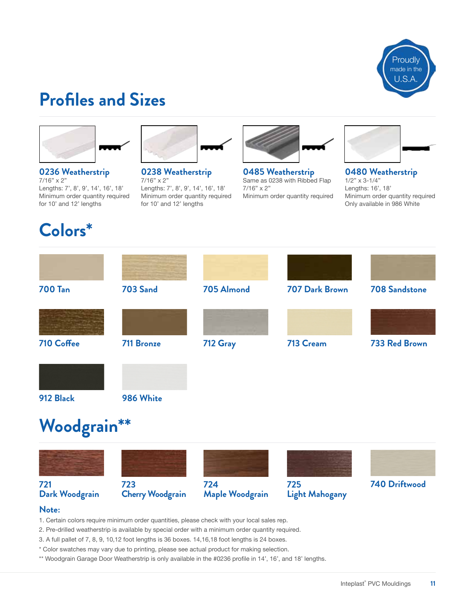

# **Profiles and Sizes**



**0236 Weatherstrip** 7/16" x 2" Lengths: 7', 8', 9', 14', 16', 18' Minimum order quantity required for 10' and 12' lengths

### **Colors\***



**0238 Weatherstrip** 7/16" x 2" Lengths: 7', 8', 9', 14', 16', 18' Minimum order quantity required for 10' and 12' lengths



**0485 Weatherstrip** Same as 0238 with Ribbed Flap 7/16" x 2" Minimum order quantity required



**0480 Weatherstrip** 1/2" x 3-1/4" Lengths: 16', 18' Minimum order quantity required Only available in 986 White

| <b>700 Tan</b> | <b>703 Sand</b>   | 705 Almond | 707 Dark Brown | <b>708 Sandstone</b> |
|----------------|-------------------|------------|----------------|----------------------|
|                |                   |            |                |                      |
| 710 Coffee     | <b>711 Bronze</b> | 712 Gray   | 713 Cream      | 733 Red Brown        |
|                |                   |            |                |                      |
| 912 Black      | 986 White         |            |                |                      |
| Woodgrain**    |                   |            |                |                      |
|                |                   |            |                |                      |

#### **721 Dark Woodgrain**

#### **723 Cherry Woodgrain 724 Maple Woodgrain 725 Light Mahogany**



#### **Note:**

1. Certain colors require minimum order quantities, please check with your local sales rep.

- 2. Pre-drilled weatherstrip is available by special order with a minimum order quantity required.
- 3. A full pallet of 7, 8, 9, 10,12 foot lengths is 36 boxes. 14,16,18 foot lengths is 24 boxes.
- \* Color swatches may vary due to printing, please see actual product for making selection.
- \*\* Woodgrain Garage Door Weatherstrip is only available in the #0236 profile in 14', 16', and 18' lengths.